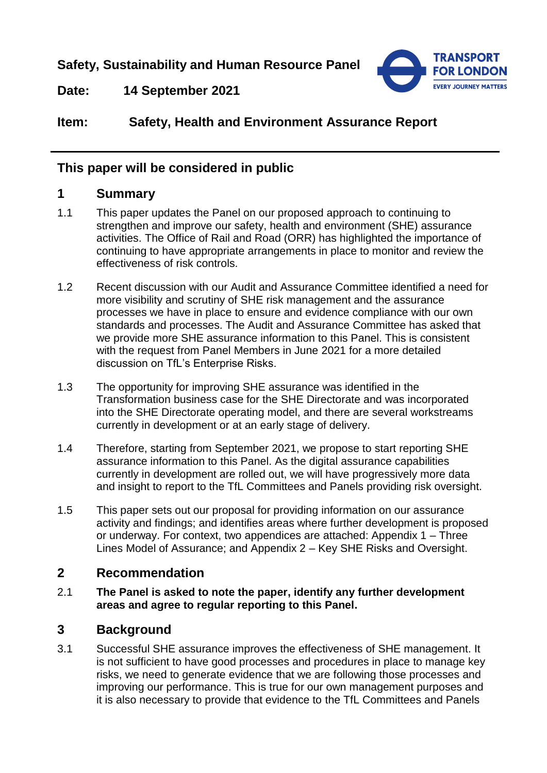**Safety, Sustainability and Human Resource Panel**



**Date: 14 September 2021**

# **Item: Safety, Health and Environment Assurance Report**

## **This paper will be considered in public**

#### **1 Summary**

- 1.1 This paper updates the Panel on our proposed approach to continuing to strengthen and improve our safety, health and environment (SHE) assurance activities. The Office of Rail and Road (ORR) has highlighted the importance of continuing to have appropriate arrangements in place to monitor and review the effectiveness of risk controls.
- 1.2 Recent discussion with our Audit and Assurance Committee identified a need for more visibility and scrutiny of SHE risk management and the assurance processes we have in place to ensure and evidence compliance with our own standards and processes. The Audit and Assurance Committee has asked that we provide more SHE assurance information to this Panel. This is consistent with the request from Panel Members in June 2021 for a more detailed discussion on TfL's Enterprise Risks.
- 1.3 The opportunity for improving SHE assurance was identified in the Transformation business case for the SHE Directorate and was incorporated into the SHE Directorate operating model, and there are several workstreams currently in development or at an early stage of delivery.
- 1.4 Therefore, starting from September 2021, we propose to start reporting SHE assurance information to this Panel. As the digital assurance capabilities currently in development are rolled out, we will have progressively more data and insight to report to the TfL Committees and Panels providing risk oversight.
- 1.5 This paper sets out our proposal for providing information on our assurance activity and findings; and identifies areas where further development is proposed or underway. For context, two appendices are attached: Appendix 1 – Three Lines Model of Assurance; and Appendix 2 – Key SHE Risks and Oversight.

# **2 Recommendation**

2.1 **The Panel is asked to note the paper, identify any further development areas and agree to regular reporting to this Panel.** 

# **3 Background**

3.1 Successful SHE assurance improves the effectiveness of SHE management. It is not sufficient to have good processes and procedures in place to manage key risks, we need to generate evidence that we are following those processes and improving our performance. This is true for our own management purposes and it is also necessary to provide that evidence to the TfL Committees and Panels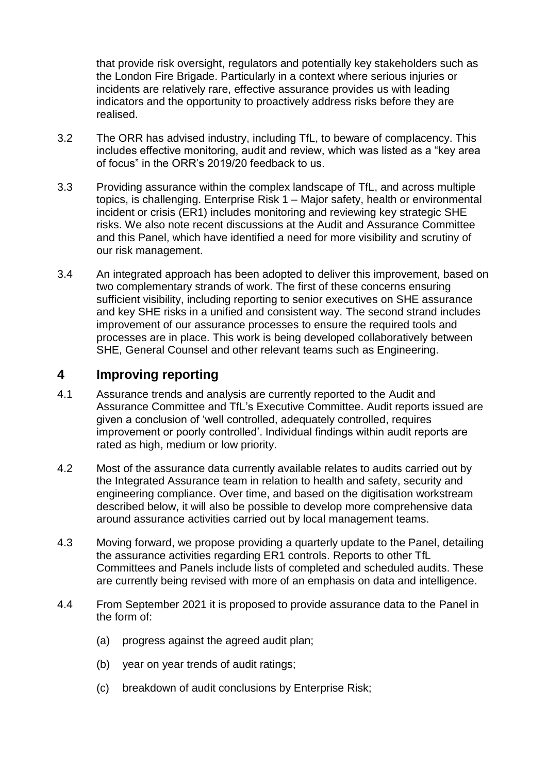that provide risk oversight, regulators and potentially key stakeholders such as the London Fire Brigade. Particularly in a context where serious injuries or incidents are relatively rare, effective assurance provides us with leading indicators and the opportunity to proactively address risks before they are realised.

- 3.2 The ORR has advised industry, including TfL, to beware of complacency. This includes effective monitoring, audit and review, which was listed as a "key area of focus" in the ORR's 2019/20 feedback to us.
- 3.3 Providing assurance within the complex landscape of TfL, and across multiple topics, is challenging. Enterprise Risk 1 – Major safety, health or environmental incident or crisis (ER1) includes monitoring and reviewing key strategic SHE risks. We also note recent discussions at the Audit and Assurance Committee and this Panel, which have identified a need for more visibility and scrutiny of our risk management.
- 3.4 An integrated approach has been adopted to deliver this improvement, based on two complementary strands of work. The first of these concerns ensuring sufficient visibility, including reporting to senior executives on SHE assurance and key SHE risks in a unified and consistent way. The second strand includes improvement of our assurance processes to ensure the required tools and processes are in place. This work is being developed collaboratively between SHE, General Counsel and other relevant teams such as Engineering.

### **4 Improving reporting**

- 4.1 Assurance trends and analysis are currently reported to the Audit and Assurance Committee and TfL's Executive Committee. Audit reports issued are given a conclusion of 'well controlled, adequately controlled, requires improvement or poorly controlled'. Individual findings within audit reports are rated as high, medium or low priority.
- 4.2 Most of the assurance data currently available relates to audits carried out by the Integrated Assurance team in relation to health and safety, security and engineering compliance. Over time, and based on the digitisation workstream described below, it will also be possible to develop more comprehensive data around assurance activities carried out by local management teams.
- 4.3 Moving forward, we propose providing a quarterly update to the Panel, detailing the assurance activities regarding ER1 controls. Reports to other TfL Committees and Panels include lists of completed and scheduled audits. These are currently being revised with more of an emphasis on data and intelligence.
- 4.4 From September 2021 it is proposed to provide assurance data to the Panel in the form of:
	- (a) progress against the agreed audit plan;
	- (b) year on year trends of audit ratings;
	- (c) breakdown of audit conclusions by Enterprise Risk;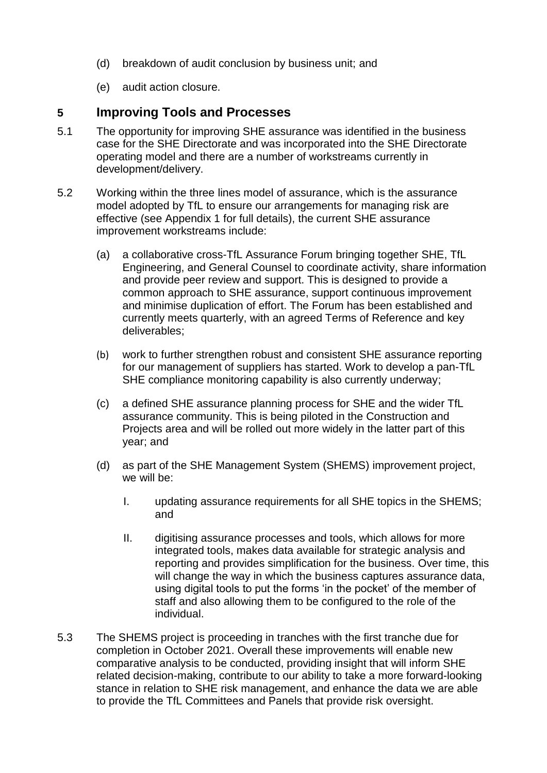- (d) breakdown of audit conclusion by business unit; and
- (e) audit action closure.

#### **5 Improving Tools and Processes**

- 5.1 The opportunity for improving SHE assurance was identified in the business case for the SHE Directorate and was incorporated into the SHE Directorate operating model and there are a number of workstreams currently in development/delivery.
- 5.2 Working within the three lines model of assurance, which is the assurance model adopted by TfL to ensure our arrangements for managing risk are effective (see Appendix 1 for full details), the current SHE assurance improvement workstreams include:
	- (a) a collaborative cross-TfL Assurance Forum bringing together SHE, TfL Engineering, and General Counsel to coordinate activity, share information and provide peer review and support. This is designed to provide a common approach to SHE assurance, support continuous improvement and minimise duplication of effort. The Forum has been established and currently meets quarterly, with an agreed Terms of Reference and key deliverables;
	- (b) work to further strengthen robust and consistent SHE assurance reporting for our management of suppliers has started. Work to develop a pan-TfL SHE compliance monitoring capability is also currently underway;
	- (c) a defined SHE assurance planning process for SHE and the wider TfL assurance community. This is being piloted in the Construction and Projects area and will be rolled out more widely in the latter part of this year; and
	- (d) as part of the SHE Management System (SHEMS) improvement project, we will be:
		- I. updating assurance requirements for all SHE topics in the SHEMS; and
		- II. digitising assurance processes and tools, which allows for more integrated tools, makes data available for strategic analysis and reporting and provides simplification for the business. Over time, this will change the way in which the business captures assurance data, using digital tools to put the forms 'in the pocket' of the member of staff and also allowing them to be configured to the role of the individual.
- 5.3 The SHEMS project is proceeding in tranches with the first tranche due for completion in October 2021. Overall these improvements will enable new comparative analysis to be conducted, providing insight that will inform SHE related decision-making, contribute to our ability to take a more forward-looking stance in relation to SHE risk management, and enhance the data we are able to provide the TfL Committees and Panels that provide risk oversight.